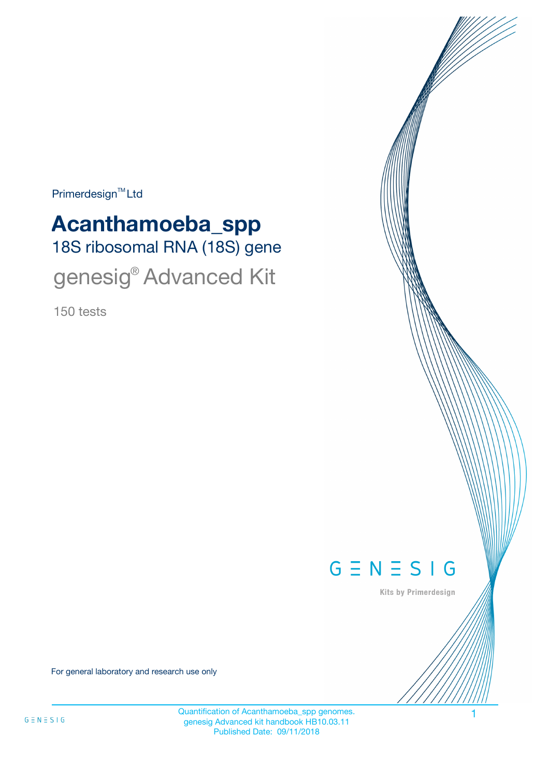Primerdesign<sup>™</sup>Ltd

# 18S ribosomal RNA (18S) gene **Acanthamoeba\_spp** genesig® Advanced Kit

150 tests



Kits by Primerdesign

For general laboratory and research use only

Quantification of Acanthamoeba\_spp genomes. 1 genesig Advanced kit handbook HB10.03.11 Published Date: 09/11/2018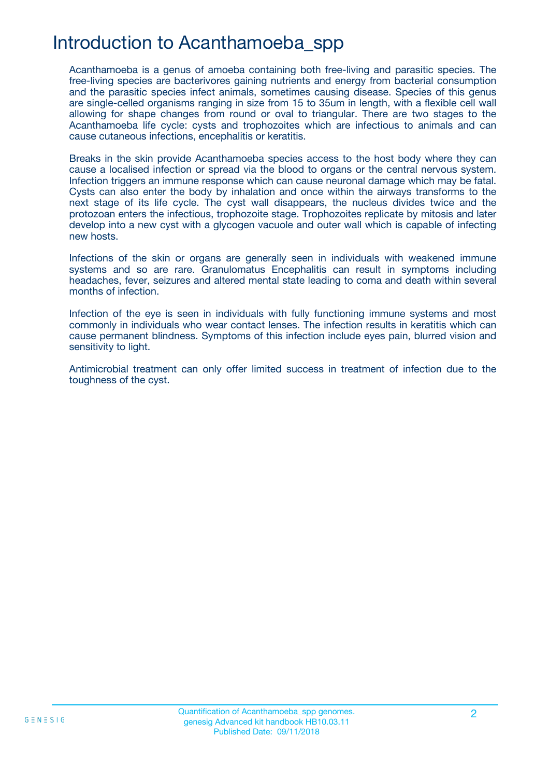## Introduction to Acanthamoeba\_spp

Acanthamoeba is a genus of amoeba containing both free-living and parasitic species. The free-living species are bacterivores gaining nutrients and energy from bacterial consumption and the parasitic species infect animals, sometimes causing disease. Species of this genus are single-celled organisms ranging in size from 15 to 35um in length, with a flexible cell wall allowing for shape changes from round or oval to triangular. There are two stages to the Acanthamoeba life cycle: cysts and trophozoites which are infectious to animals and can cause cutaneous infections, encephalitis or keratitis.

Breaks in the skin provide Acanthamoeba species access to the host body where they can cause a localised infection or spread via the blood to organs or the central nervous system. Infection triggers an immune response which can cause neuronal damage which may be fatal. Cysts can also enter the body by inhalation and once within the airways transforms to the next stage of its life cycle. The cyst wall disappears, the nucleus divides twice and the protozoan enters the infectious, trophozoite stage. Trophozoites replicate by mitosis and later develop into a new cyst with a glycogen vacuole and outer wall which is capable of infecting new hosts.

Infections of the skin or organs are generally seen in individuals with weakened immune systems and so are rare. Granulomatus Encephalitis can result in symptoms including headaches, fever, seizures and altered mental state leading to coma and death within several months of infection.

Infection of the eye is seen in individuals with fully functioning immune systems and most commonly in individuals who wear contact lenses. The infection results in keratitis which can cause permanent blindness. Symptoms of this infection include eyes pain, blurred vision and sensitivity to light.

Antimicrobial treatment can only offer limited success in treatment of infection due to the toughness of the cyst.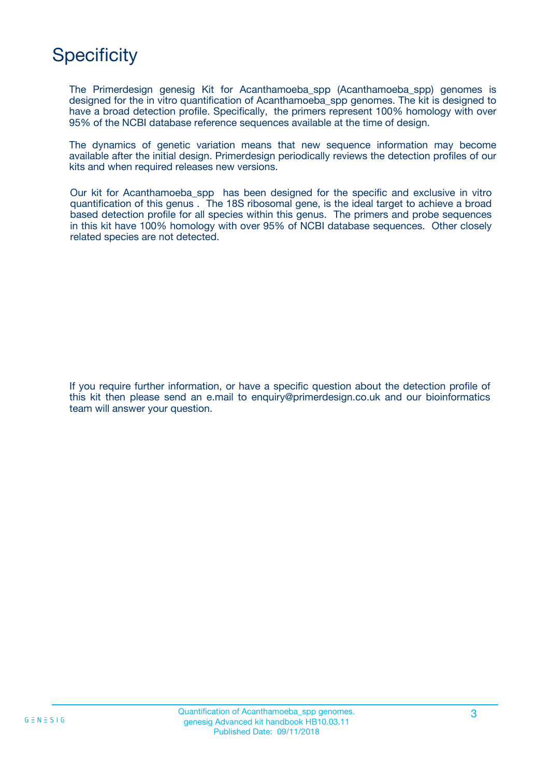## **Specificity**

The Primerdesign genesig Kit for Acanthamoeba\_spp (Acanthamoeba\_spp) genomes is designed for the in vitro quantification of Acanthamoeba\_spp genomes. The kit is designed to have a broad detection profile. Specifically, the primers represent 100% homology with over 95% of the NCBI database reference sequences available at the time of design.

The dynamics of genetic variation means that new sequence information may become available after the initial design. Primerdesign periodically reviews the detection profiles of our kits and when required releases new versions.

Our kit for Acanthamoeba\_spp has been designed for the specific and exclusive in vitro quantification of this genus . The 18S ribosomal gene, is the ideal target to achieve a broad based detection profile for all species within this genus. The primers and probe sequences in this kit have 100% homology with over 95% of NCBI database sequences. Other closely related species are not detected.

If you require further information, or have a specific question about the detection profile of this kit then please send an e.mail to enquiry@primerdesign.co.uk and our bioinformatics team will answer your question.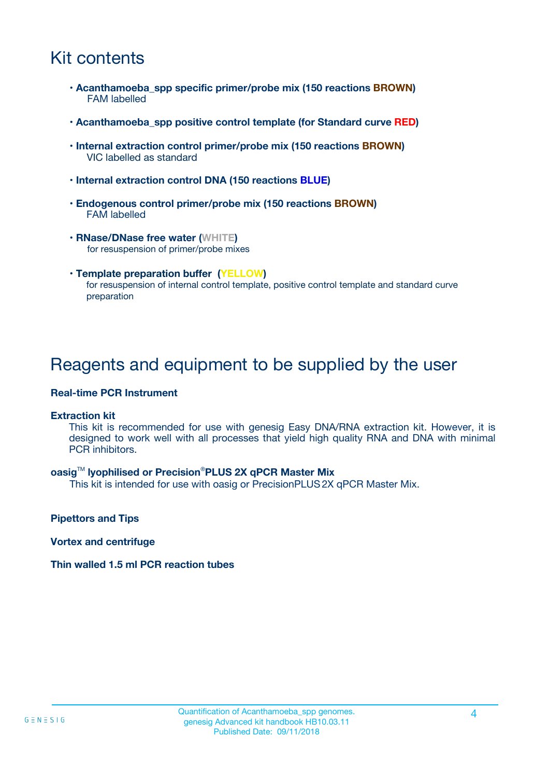## Kit contents

- **Acanthamoeba\_spp specific primer/probe mix (150 reactions BROWN)** FAM labelled
- **Acanthamoeba\_spp positive control template (for Standard curve RED)**
- **Internal extraction control primer/probe mix (150 reactions BROWN)** VIC labelled as standard
- **Internal extraction control DNA (150 reactions BLUE)**
- **Endogenous control primer/probe mix (150 reactions BROWN)** FAM labelled
- **RNase/DNase free water (WHITE)** for resuspension of primer/probe mixes
- **Template preparation buffer (YELLOW)** for resuspension of internal control template, positive control template and standard curve preparation

### Reagents and equipment to be supplied by the user

#### **Real-time PCR Instrument**

#### **Extraction kit**

This kit is recommended for use with genesig Easy DNA/RNA extraction kit. However, it is designed to work well with all processes that yield high quality RNA and DNA with minimal PCR inhibitors.

#### **oasig**TM **lyophilised or Precision**®**PLUS 2X qPCR Master Mix**

This kit is intended for use with oasig or PrecisionPLUS2X qPCR Master Mix.

**Pipettors and Tips**

**Vortex and centrifuge**

#### **Thin walled 1.5 ml PCR reaction tubes**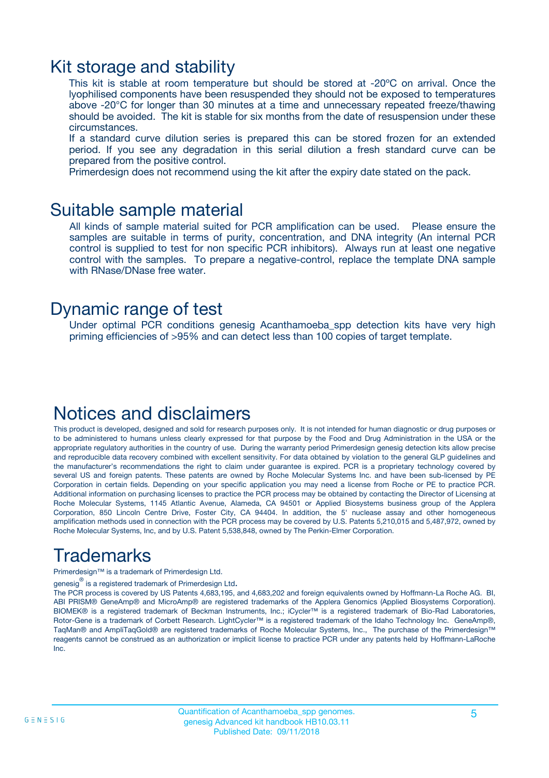### Kit storage and stability

This kit is stable at room temperature but should be stored at -20ºC on arrival. Once the lyophilised components have been resuspended they should not be exposed to temperatures above -20°C for longer than 30 minutes at a time and unnecessary repeated freeze/thawing should be avoided. The kit is stable for six months from the date of resuspension under these circumstances.

If a standard curve dilution series is prepared this can be stored frozen for an extended period. If you see any degradation in this serial dilution a fresh standard curve can be prepared from the positive control.

Primerdesign does not recommend using the kit after the expiry date stated on the pack.

### Suitable sample material

All kinds of sample material suited for PCR amplification can be used. Please ensure the samples are suitable in terms of purity, concentration, and DNA integrity (An internal PCR control is supplied to test for non specific PCR inhibitors). Always run at least one negative control with the samples. To prepare a negative-control, replace the template DNA sample with RNase/DNase free water.

### Dynamic range of test

Under optimal PCR conditions genesig Acanthamoeba\_spp detection kits have very high priming efficiencies of >95% and can detect less than 100 copies of target template.

## Notices and disclaimers

This product is developed, designed and sold for research purposes only. It is not intended for human diagnostic or drug purposes or to be administered to humans unless clearly expressed for that purpose by the Food and Drug Administration in the USA or the appropriate regulatory authorities in the country of use. During the warranty period Primerdesign genesig detection kits allow precise and reproducible data recovery combined with excellent sensitivity. For data obtained by violation to the general GLP guidelines and the manufacturer's recommendations the right to claim under guarantee is expired. PCR is a proprietary technology covered by several US and foreign patents. These patents are owned by Roche Molecular Systems Inc. and have been sub-licensed by PE Corporation in certain fields. Depending on your specific application you may need a license from Roche or PE to practice PCR. Additional information on purchasing licenses to practice the PCR process may be obtained by contacting the Director of Licensing at Roche Molecular Systems, 1145 Atlantic Avenue, Alameda, CA 94501 or Applied Biosystems business group of the Applera Corporation, 850 Lincoln Centre Drive, Foster City, CA 94404. In addition, the 5' nuclease assay and other homogeneous amplification methods used in connection with the PCR process may be covered by U.S. Patents 5,210,015 and 5,487,972, owned by Roche Molecular Systems, Inc, and by U.S. Patent 5,538,848, owned by The Perkin-Elmer Corporation.

## Trademarks

Primerdesign™ is a trademark of Primerdesign Ltd.

genesig $^\circledR$  is a registered trademark of Primerdesign Ltd.

The PCR process is covered by US Patents 4,683,195, and 4,683,202 and foreign equivalents owned by Hoffmann-La Roche AG. BI, ABI PRISM® GeneAmp® and MicroAmp® are registered trademarks of the Applera Genomics (Applied Biosystems Corporation). BIOMEK® is a registered trademark of Beckman Instruments, Inc.; iCycler™ is a registered trademark of Bio-Rad Laboratories, Rotor-Gene is a trademark of Corbett Research. LightCycler™ is a registered trademark of the Idaho Technology Inc. GeneAmp®, TaqMan® and AmpliTaqGold® are registered trademarks of Roche Molecular Systems, Inc., The purchase of the Primerdesign™ reagents cannot be construed as an authorization or implicit license to practice PCR under any patents held by Hoffmann-LaRoche Inc.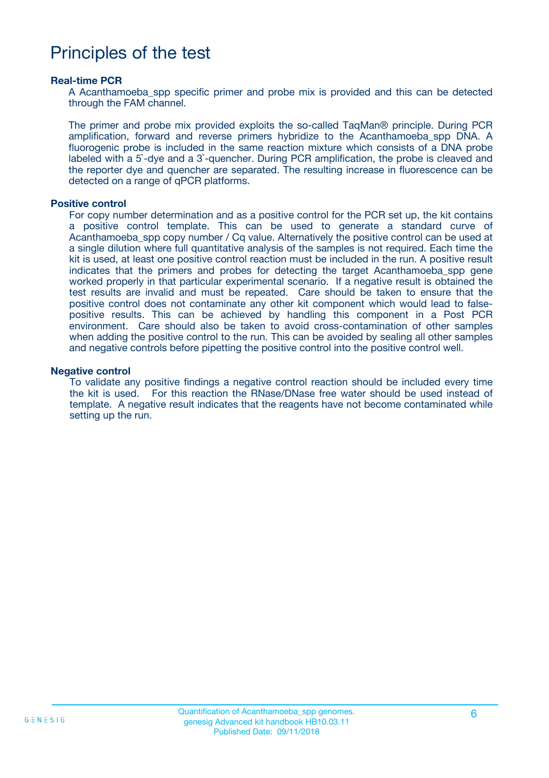## Principles of the test

#### **Real-time PCR**

A Acanthamoeba\_spp specific primer and probe mix is provided and this can be detected through the FAM channel.

The primer and probe mix provided exploits the so-called TaqMan® principle. During PCR amplification, forward and reverse primers hybridize to the Acanthamoeba\_spp DNA. A fluorogenic probe is included in the same reaction mixture which consists of a DNA probe labeled with a 5`-dye and a 3`-quencher. During PCR amplification, the probe is cleaved and the reporter dye and quencher are separated. The resulting increase in fluorescence can be detected on a range of qPCR platforms.

#### **Positive control**

For copy number determination and as a positive control for the PCR set up, the kit contains a positive control template. This can be used to generate a standard curve of Acanthamoeba spp copy number / Cq value. Alternatively the positive control can be used at a single dilution where full quantitative analysis of the samples is not required. Each time the kit is used, at least one positive control reaction must be included in the run. A positive result indicates that the primers and probes for detecting the target Acanthamoeba\_spp gene worked properly in that particular experimental scenario. If a negative result is obtained the test results are invalid and must be repeated. Care should be taken to ensure that the positive control does not contaminate any other kit component which would lead to falsepositive results. This can be achieved by handling this component in a Post PCR environment. Care should also be taken to avoid cross-contamination of other samples when adding the positive control to the run. This can be avoided by sealing all other samples and negative controls before pipetting the positive control into the positive control well.

#### **Negative control**

To validate any positive findings a negative control reaction should be included every time the kit is used. For this reaction the RNase/DNase free water should be used instead of template. A negative result indicates that the reagents have not become contaminated while setting up the run.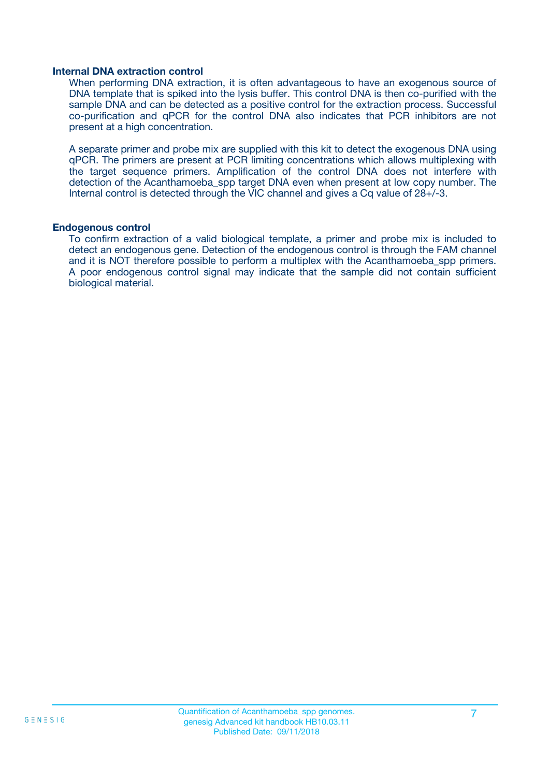#### **Internal DNA extraction control**

When performing DNA extraction, it is often advantageous to have an exogenous source of DNA template that is spiked into the lysis buffer. This control DNA is then co-purified with the sample DNA and can be detected as a positive control for the extraction process. Successful co-purification and qPCR for the control DNA also indicates that PCR inhibitors are not present at a high concentration.

A separate primer and probe mix are supplied with this kit to detect the exogenous DNA using qPCR. The primers are present at PCR limiting concentrations which allows multiplexing with the target sequence primers. Amplification of the control DNA does not interfere with detection of the Acanthamoeba spp target DNA even when present at low copy number. The Internal control is detected through the VIC channel and gives a Cq value of 28+/-3.

#### **Endogenous control**

To confirm extraction of a valid biological template, a primer and probe mix is included to detect an endogenous gene. Detection of the endogenous control is through the FAM channel and it is NOT therefore possible to perform a multiplex with the Acanthamoeba\_spp primers. A poor endogenous control signal may indicate that the sample did not contain sufficient biological material.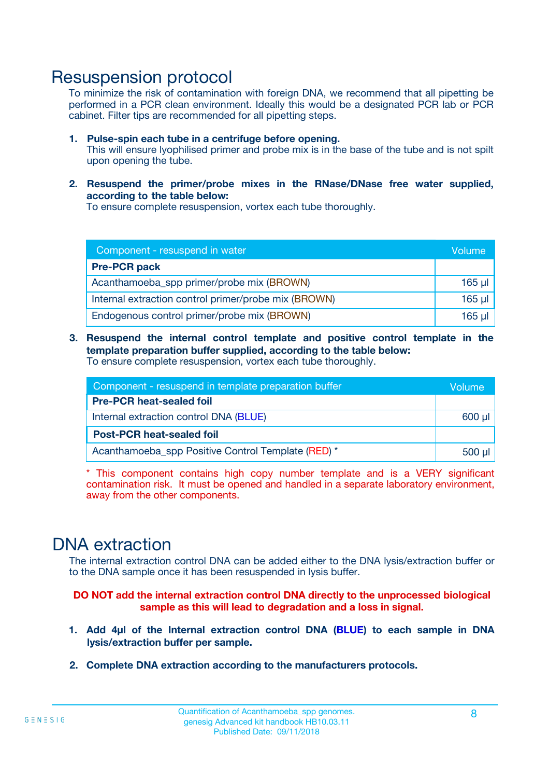### Resuspension protocol

To minimize the risk of contamination with foreign DNA, we recommend that all pipetting be performed in a PCR clean environment. Ideally this would be a designated PCR lab or PCR cabinet. Filter tips are recommended for all pipetting steps.

- **1. Pulse-spin each tube in a centrifuge before opening.** This will ensure lyophilised primer and probe mix is in the base of the tube and is not spilt upon opening the tube.
- **2. Resuspend the primer/probe mixes in the RNase/DNase free water supplied, according to the table below:**

To ensure complete resuspension, vortex each tube thoroughly.

| Component - resuspend in water                       |             |  |
|------------------------------------------------------|-------------|--|
| <b>Pre-PCR pack</b>                                  |             |  |
| Acanthamoeba_spp primer/probe mix (BROWN)            | $165$ µl    |  |
| Internal extraction control primer/probe mix (BROWN) | $165$ $\mu$ |  |
| Endogenous control primer/probe mix (BROWN)          | 165 µl      |  |

**3. Resuspend the internal control template and positive control template in the template preparation buffer supplied, according to the table below:** To ensure complete resuspension, vortex each tube thoroughly.

| Component - resuspend in template preparation buffer |  |  |  |
|------------------------------------------------------|--|--|--|
| <b>Pre-PCR heat-sealed foil</b>                      |  |  |  |
| Internal extraction control DNA (BLUE)               |  |  |  |
| <b>Post-PCR heat-sealed foil</b>                     |  |  |  |
| Acanthamoeba_spp Positive Control Template (RED) *   |  |  |  |

\* This component contains high copy number template and is a VERY significant contamination risk. It must be opened and handled in a separate laboratory environment, away from the other components.

## DNA extraction

The internal extraction control DNA can be added either to the DNA lysis/extraction buffer or to the DNA sample once it has been resuspended in lysis buffer.

**DO NOT add the internal extraction control DNA directly to the unprocessed biological sample as this will lead to degradation and a loss in signal.**

- **1. Add 4µl of the Internal extraction control DNA (BLUE) to each sample in DNA lysis/extraction buffer per sample.**
- **2. Complete DNA extraction according to the manufacturers protocols.**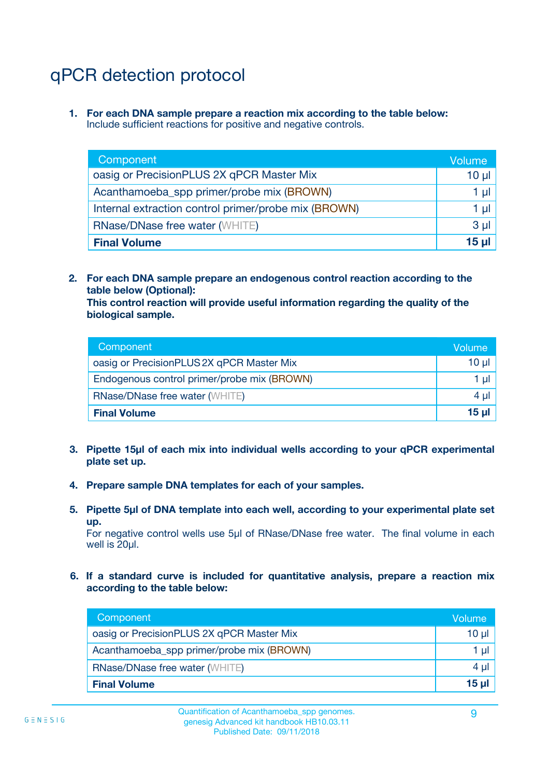## qPCR detection protocol

**1. For each DNA sample prepare a reaction mix according to the table below:** Include sufficient reactions for positive and negative controls.

| Component                                            | Volume       |
|------------------------------------------------------|--------------|
| oasig or PrecisionPLUS 2X qPCR Master Mix            | 10 µ $\vert$ |
| Acanthamoeba_spp primer/probe mix (BROWN)            | 1 µl         |
| Internal extraction control primer/probe mix (BROWN) | 1 µl         |
| <b>RNase/DNase free water (WHITE)</b>                | $3 \mu$      |
| <b>Final Volume</b>                                  | 15 ul        |

**2. For each DNA sample prepare an endogenous control reaction according to the table below (Optional):**

**This control reaction will provide useful information regarding the quality of the biological sample.**

| Component                                   | Volume   |
|---------------------------------------------|----------|
| oasig or PrecisionPLUS 2X qPCR Master Mix   | $10 \mu$ |
| Endogenous control primer/probe mix (BROWN) | 1 µI     |
| <b>RNase/DNase free water (WHITE)</b>       | $4 \mu$  |
| <b>Final Volume</b>                         | 15 µl    |

- **3. Pipette 15µl of each mix into individual wells according to your qPCR experimental plate set up.**
- **4. Prepare sample DNA templates for each of your samples.**
- **5. Pipette 5µl of DNA template into each well, according to your experimental plate set up.**

For negative control wells use 5µl of RNase/DNase free water. The final volume in each well is 20ul.

**6. If a standard curve is included for quantitative analysis, prepare a reaction mix according to the table below:**

| Component                                 | Volume   |
|-------------------------------------------|----------|
| oasig or PrecisionPLUS 2X qPCR Master Mix | $10 \mu$ |
| Acanthamoeba_spp primer/probe mix (BROWN) |          |
| <b>RNase/DNase free water (WHITE)</b>     | 4 µl     |
| <b>Final Volume</b>                       | 15 ul    |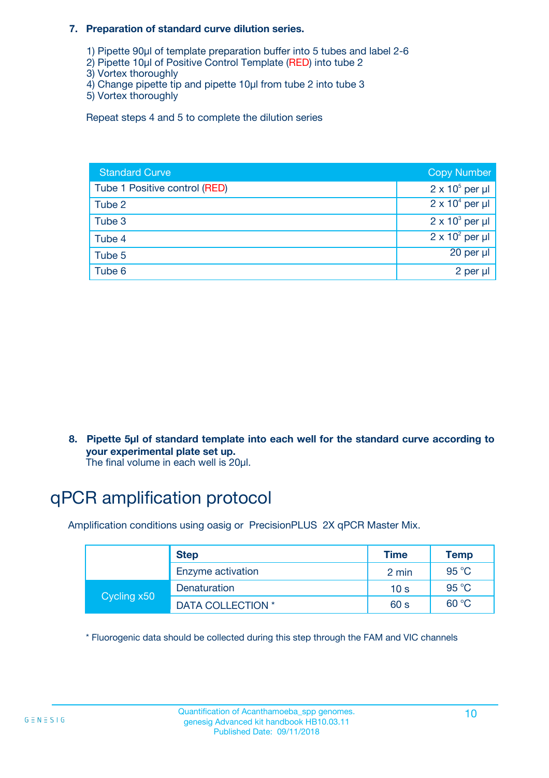#### **7. Preparation of standard curve dilution series.**

- 1) Pipette 90µl of template preparation buffer into 5 tubes and label 2-6
- 2) Pipette 10µl of Positive Control Template (RED) into tube 2
- 3) Vortex thoroughly
- 4) Change pipette tip and pipette 10µl from tube 2 into tube 3
- 5) Vortex thoroughly

Repeat steps 4 and 5 to complete the dilution series

| <b>Standard Curve</b>         | <b>Copy Number</b>     |
|-------------------------------|------------------------|
| Tube 1 Positive control (RED) | $2 \times 10^5$ per µl |
| Tube 2                        | $2 \times 10^4$ per µl |
| Tube 3                        | $2 \times 10^3$ per µl |
| Tube 4                        | $2 \times 10^2$ per µl |
| Tube 5                        | 20 per µl              |
| Tube 6                        | 2 per µl               |

**8. Pipette 5µl of standard template into each well for the standard curve according to your experimental plate set up.**

#### The final volume in each well is 20µl.

## qPCR amplification protocol

Amplification conditions using oasig or PrecisionPLUS 2X qPCR Master Mix.

|             | <b>Step</b>       | <b>Time</b>     | Temp    |
|-------------|-------------------|-----------------|---------|
|             | Enzyme activation | 2 min           | 95 °C   |
| Cycling x50 | Denaturation      | 10 <sub>s</sub> | 95 $°C$ |
|             | DATA COLLECTION * | 60 s            | 60 °C   |

\* Fluorogenic data should be collected during this step through the FAM and VIC channels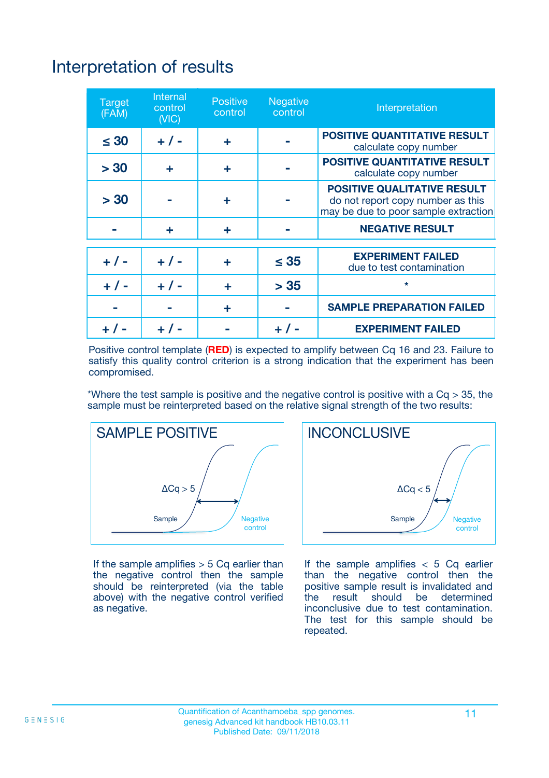## Interpretation of results

| <b>Target</b><br>(FAM) | <b>Internal</b><br>control<br>(NIC) | <b>Positive</b><br>control | <b>Negative</b><br>control | Interpretation                                                                                                  |
|------------------------|-------------------------------------|----------------------------|----------------------------|-----------------------------------------------------------------------------------------------------------------|
| $\leq 30$              | $+ 1 -$                             | ÷                          |                            | <b>POSITIVE QUANTITATIVE RESULT</b><br>calculate copy number                                                    |
| > 30                   | ٠                                   | ÷                          |                            | <b>POSITIVE QUANTITATIVE RESULT</b><br>calculate copy number                                                    |
| > 30                   |                                     | ÷                          |                            | <b>POSITIVE QUALITATIVE RESULT</b><br>do not report copy number as this<br>may be due to poor sample extraction |
|                        | ÷                                   | ÷                          |                            | <b>NEGATIVE RESULT</b>                                                                                          |
| $+ 1 -$                | $+ 1 -$                             | ÷                          | $\leq$ 35                  | <b>EXPERIMENT FAILED</b><br>due to test contamination                                                           |
| $+$ / -                | $+ 1 -$                             | ÷                          | > 35                       | $\star$                                                                                                         |
|                        |                                     | ÷                          |                            | <b>SAMPLE PREPARATION FAILED</b>                                                                                |
|                        |                                     |                            | $+$ /                      | <b>EXPERIMENT FAILED</b>                                                                                        |

Positive control template (**RED**) is expected to amplify between Cq 16 and 23. Failure to satisfy this quality control criterion is a strong indication that the experiment has been compromised.

\*Where the test sample is positive and the negative control is positive with a  $Ca > 35$ , the sample must be reinterpreted based on the relative signal strength of the two results:



If the sample amplifies  $> 5$  Cq earlier than the negative control then the sample should be reinterpreted (via the table above) with the negative control verified as negative.



If the sample amplifies  $< 5$  Cq earlier than the negative control then the positive sample result is invalidated and<br>the result should be determined  $the$  result should be inconclusive due to test contamination. The test for this sample should be repeated.